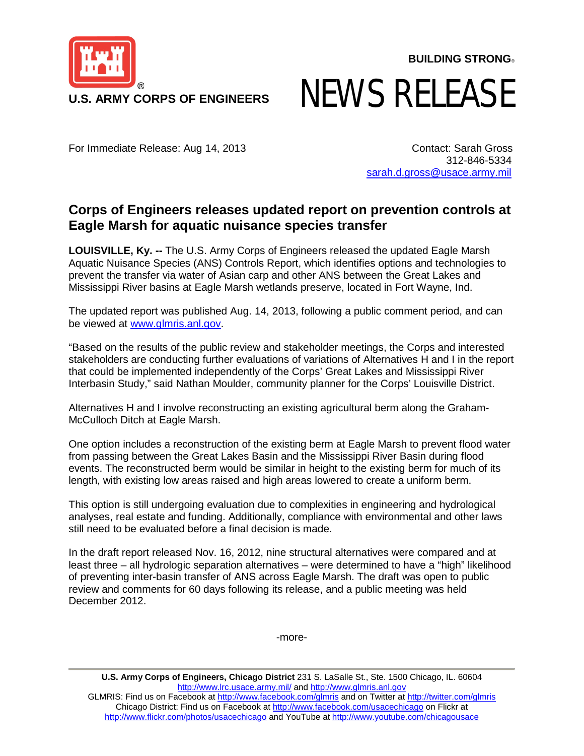

**BUILDING STRONG**®

## NEWS RELEASE

For Immediate Release: Aug 14, 2013 Contact: Sarah Gross

312-846-5334 [sarah.d.gross@usace.army.mil](mailto:sarah.d.gross@usace.army.mil)

## **Corps of Engineers releases updated report on prevention controls at Eagle Marsh for aquatic nuisance species transfer**

**LOUISVILLE, Ky. --** The U.S. Army Corps of Engineers released the updated Eagle Marsh Aquatic Nuisance Species (ANS) Controls Report, which identifies options and technologies to prevent the transfer via water of Asian carp and other ANS between the Great Lakes and Mississippi River basins at Eagle Marsh wetlands preserve, located in Fort Wayne, Ind.

The updated report was published Aug. 14, 2013, following a public comment period, and can be viewed at [www.glmris.anl.gov.](http://www.glmris.anl.gov/)

"Based on the results of the public review and stakeholder meetings, the Corps and interested stakeholders are conducting further evaluations of variations of Alternatives H and I in the report that could be implemented independently of the Corps' Great Lakes and Mississippi River Interbasin Study," said Nathan Moulder, community planner for the Corps' Louisville District.

Alternatives H and I involve reconstructing an existing agricultural berm along the Graham-McCulloch Ditch at Eagle Marsh.

One option includes a reconstruction of the existing berm at Eagle Marsh to prevent flood water from passing between the Great Lakes Basin and the Mississippi River Basin during flood events. The reconstructed berm would be similar in height to the existing berm for much of its length, with existing low areas raised and high areas lowered to create a uniform berm.

This option is still undergoing evaluation due to complexities in engineering and hydrological analyses, real estate and funding. Additionally, compliance with environmental and other laws still need to be evaluated before a final decision is made.

In the draft report released Nov. 16, 2012, nine structural alternatives were compared and at least three – all hydrologic separation alternatives – were determined to have a "high" likelihood of preventing inter-basin transfer of ANS across Eagle Marsh. The draft was open to public review and comments for 60 days following its release, and a public meeting was held December 2012.

-more-

**U.S. Army Corps of Engineers, Chicago District** 231 S. LaSalle St., Ste. 1500 Chicago, IL. 60604 <http://www.lrc.usace.army.mil/> and [http://www.glmris.anl.gov](http://www.glmris.anl.gov/) GLMRIS: Find us on Facebook at<http://www.facebook.com/glmris> and on Twitter at<http://twitter.com/glmris> Chicago District: Find us on Facebook at<http://www.facebook.com/usacechicago> on Flickr at <http://www.flickr.com/photos/usacechicago> and YouTube a[t http://www.youtube.com/chicagousace](http://www.youtube.com/chicagousace)